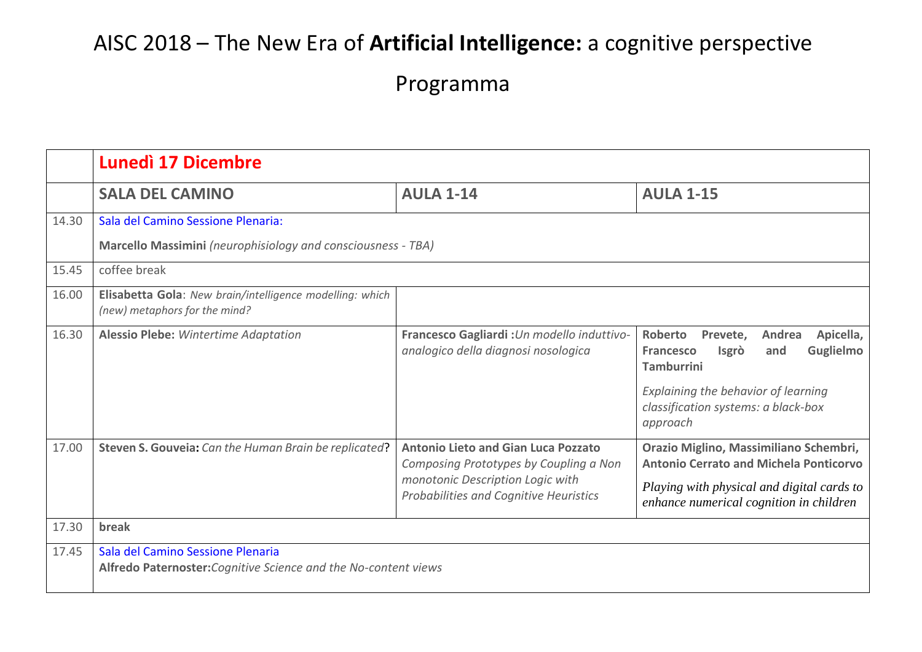## AISC 2018 – The New Era of **Artificial Intelligence:** a cognitive perspective

Programma

|       | <b>Lunedì 17 Dicembre</b>                                                                            |                                                                                                                                                                    |                                                                                                                                                                                                                          |  |  |
|-------|------------------------------------------------------------------------------------------------------|--------------------------------------------------------------------------------------------------------------------------------------------------------------------|--------------------------------------------------------------------------------------------------------------------------------------------------------------------------------------------------------------------------|--|--|
|       | <b>SALA DEL CAMINO</b>                                                                               | <b>AULA 1-14</b>                                                                                                                                                   | <b>AULA 1-15</b>                                                                                                                                                                                                         |  |  |
| 14.30 | Sala del Camino Sessione Plenaria:<br>Marcello Massimini (neurophisiology and consciousness - TBA)   |                                                                                                                                                                    |                                                                                                                                                                                                                          |  |  |
| 15.45 | coffee break                                                                                         |                                                                                                                                                                    |                                                                                                                                                                                                                          |  |  |
| 16.00 | Elisabetta Gola: New brain/intelligence modelling: which<br>(new) metaphors for the mind?            |                                                                                                                                                                    |                                                                                                                                                                                                                          |  |  |
| 16.30 | <b>Alessio Plebe:</b> Wintertime Adaptation                                                          | Francesco Gagliardi : Un modello induttivo-<br>analogico della diagnosi nosologica                                                                                 | Roberto<br>Prevete,<br>Andrea<br>Apicella,<br><b>Guglielmo</b><br><b>Francesco</b><br><b>Isgrò</b><br>and<br><b>Tamburrini</b><br>Explaining the behavior of learning<br>classification systems: a black-box<br>approach |  |  |
| 17.00 | Steven S. Gouveia: Can the Human Brain be replicated?                                                | <b>Antonio Lieto and Gian Luca Pozzato</b><br>Composing Prototypes by Coupling a Non<br>monotonic Description Logic with<br>Probabilities and Cognitive Heuristics | Orazio Miglino, Massimiliano Schembri,<br><b>Antonio Cerrato and Michela Ponticorvo</b><br>Playing with physical and digital cards to<br>enhance numerical cognition in children                                         |  |  |
| 17.30 | break                                                                                                |                                                                                                                                                                    |                                                                                                                                                                                                                          |  |  |
| 17.45 | Sala del Camino Sessione Plenaria<br>Alfredo Paternoster: Cognitive Science and the No-content views |                                                                                                                                                                    |                                                                                                                                                                                                                          |  |  |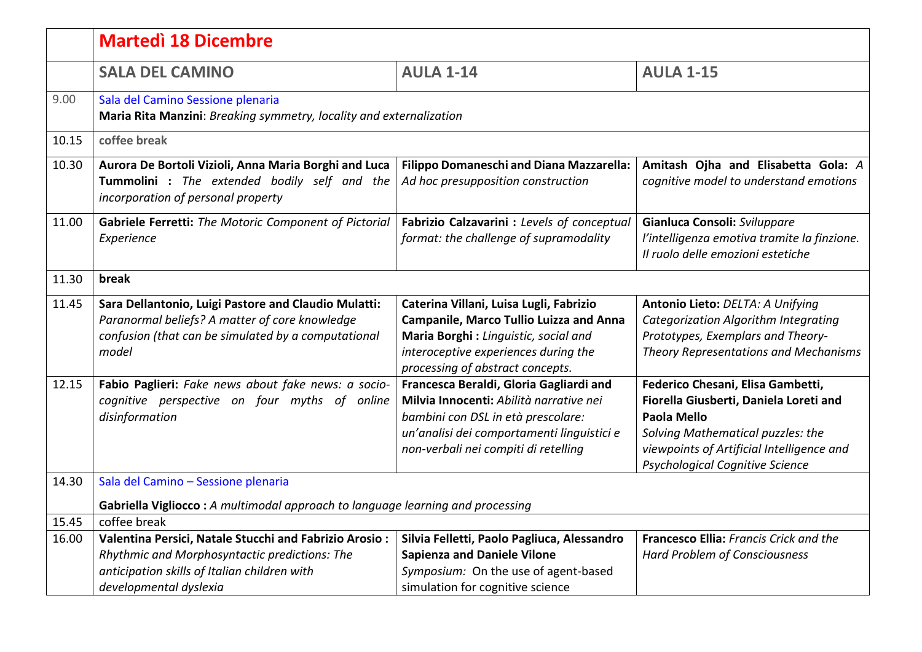|       | <b>Martedì 18 Dicembre</b>                                                                                                                                                        |                                                                                                                                                                                                                |                                                                                                                                                                                                                        |  |  |
|-------|-----------------------------------------------------------------------------------------------------------------------------------------------------------------------------------|----------------------------------------------------------------------------------------------------------------------------------------------------------------------------------------------------------------|------------------------------------------------------------------------------------------------------------------------------------------------------------------------------------------------------------------------|--|--|
|       | <b>SALA DEL CAMINO</b>                                                                                                                                                            | <b>AULA 1-14</b>                                                                                                                                                                                               | <b>AULA 1-15</b>                                                                                                                                                                                                       |  |  |
| 9.00  | Sala del Camino Sessione plenaria<br>Maria Rita Manzini: Breaking symmetry, locality and externalization                                                                          |                                                                                                                                                                                                                |                                                                                                                                                                                                                        |  |  |
| 10.15 | coffee break                                                                                                                                                                      |                                                                                                                                                                                                                |                                                                                                                                                                                                                        |  |  |
| 10.30 | Aurora De Bortoli Vizioli, Anna Maria Borghi and Luca<br>Tummolini : The extended bodily self and the<br>incorporation of personal property                                       | Filippo Domaneschi and Diana Mazzarella:<br>Ad hoc presupposition construction                                                                                                                                 | Amitash Ojha and Elisabetta Gola: A<br>cognitive model to understand emotions                                                                                                                                          |  |  |
| 11.00 | Gabriele Ferretti: The Motoric Component of Pictorial<br>Experience                                                                                                               | Fabrizio Calzavarini : Levels of conceptual<br>format: the challenge of supramodality                                                                                                                          | Gianluca Consoli: Sviluppare<br>l'intelligenza emotiva tramite la finzione.<br>Il ruolo delle emozioni estetiche                                                                                                       |  |  |
| 11.30 | break                                                                                                                                                                             |                                                                                                                                                                                                                |                                                                                                                                                                                                                        |  |  |
| 11.45 | Sara Dellantonio, Luigi Pastore and Claudio Mulatti:<br>Paranormal beliefs? A matter of core knowledge<br>confusion (that can be simulated by a computational<br>model            | Caterina Villani, Luisa Lugli, Fabrizio<br><b>Campanile, Marco Tullio Luizza and Anna</b><br>Maria Borghi: Linguistic, social and<br>interoceptive experiences during the<br>processing of abstract concepts.  | Antonio Lieto: DELTA: A Unifying<br>Categorization Algorithm Integrating<br>Prototypes, Exemplars and Theory-<br><b>Theory Representations and Mechanisms</b>                                                          |  |  |
| 12.15 | Fabio Paglieri: Fake news about fake news: a socio-<br>cognitive perspective on four myths of online<br>disinformation                                                            | Francesca Beraldi, Gloria Gagliardi and<br>Milvia Innocenti: Abilità narrative nei<br>bambini con DSL in età prescolare:<br>un'analisi dei comportamenti linguistici e<br>non-verbali nei compiti di retelling | Federico Chesani, Elisa Gambetti,<br>Fiorella Giusberti, Daniela Loreti and<br>Paola Mello<br>Solving Mathematical puzzles: the<br>viewpoints of Artificial Intelligence and<br><b>Psychological Cognitive Science</b> |  |  |
| 14.30 | Sala del Camino - Sessione plenaria                                                                                                                                               |                                                                                                                                                                                                                |                                                                                                                                                                                                                        |  |  |
|       | Gabriella Vigliocco: A multimodal approach to language learning and processing                                                                                                    |                                                                                                                                                                                                                |                                                                                                                                                                                                                        |  |  |
| 15.45 | coffee break                                                                                                                                                                      |                                                                                                                                                                                                                |                                                                                                                                                                                                                        |  |  |
| 16.00 | Valentina Persici, Natale Stucchi and Fabrizio Arosio:<br>Rhythmic and Morphosyntactic predictions: The<br>anticipation skills of Italian children with<br>developmental dyslexia | Silvia Felletti, Paolo Pagliuca, Alessandro<br><b>Sapienza and Daniele Vilone</b><br>Symposium: On the use of agent-based<br>simulation for cognitive science                                                  | Francesco Ellia: Francis Crick and the<br>Hard Problem of Consciousness                                                                                                                                                |  |  |